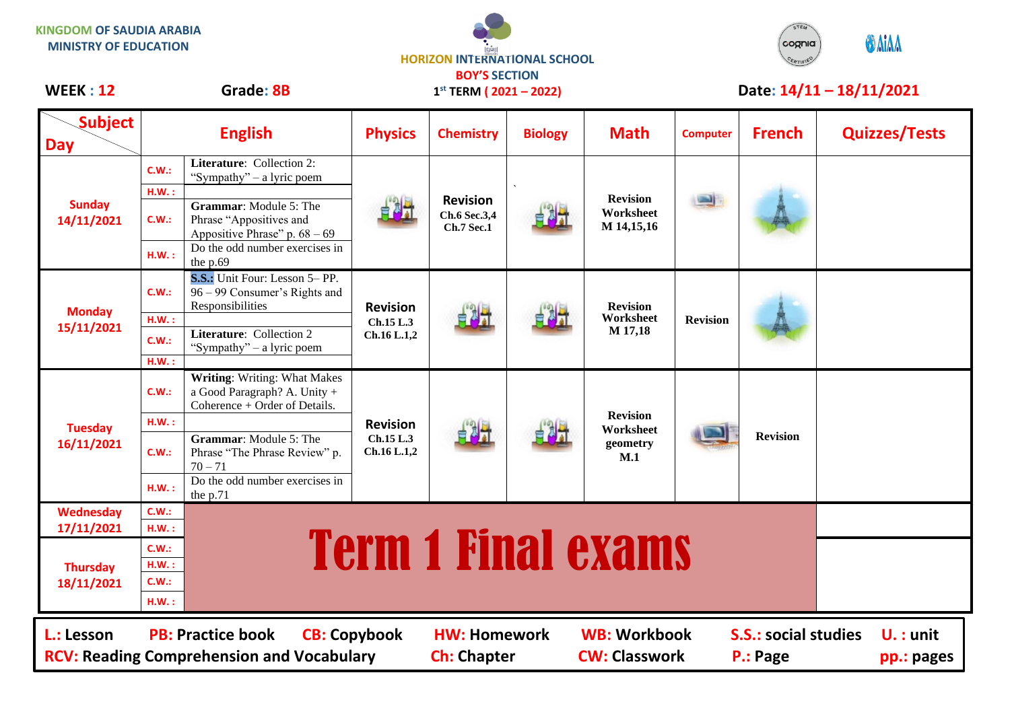**KINGDOM OF SAUDIA ARABIA MINISTRY OF EDUCATION**

## **HORIZON INTERNATIONAL SCHOOL BOY'S SECTION**

**1 st TERM ( 2021 – 2022)**



## WEEK : 12 Grade: 8B 1<sup>st</sup> TERM (2021 – 2022) Date: 14/11 – 18/11/2021

| <b>Subject</b><br><b>Day</b>                                                                                                                                                                                                                                                          | <b>English</b> |                                                                                                      | <b>Physics</b>                              | <b>Chemistry</b>                                     | <b>Biology</b> | <b>Math</b>                                     | <b>Computer</b> | <b>French</b>   | <b>Quizzes/Tests</b> |  |
|---------------------------------------------------------------------------------------------------------------------------------------------------------------------------------------------------------------------------------------------------------------------------------------|----------------|------------------------------------------------------------------------------------------------------|---------------------------------------------|------------------------------------------------------|----------------|-------------------------------------------------|-----------------|-----------------|----------------------|--|
| <b>Sunday</b><br>14/11/2021                                                                                                                                                                                                                                                           | C.W.:          | <b>Literature:</b> Collection 2:<br>"Sympathy" – a lyric poem                                        |                                             | <b>Revision</b><br>Ch.6 Sec.3,4<br><b>Ch.7 Sec.1</b> |                | <b>Revision</b><br>Worksheet<br>M 14,15,16      |                 |                 |                      |  |
|                                                                                                                                                                                                                                                                                       | H.W.:<br>C.W.: | <b>Grammar:</b> Module 5: The<br>Phrase "Appositives and<br>Appositive Phrase" p. $68 - 69$          |                                             |                                                      |                |                                                 |                 |                 |                      |  |
|                                                                                                                                                                                                                                                                                       | H.W.:          | Do the odd number exercises in<br>the $p.69$                                                         |                                             |                                                      |                |                                                 |                 |                 |                      |  |
| <b>Monday</b><br>15/11/2021                                                                                                                                                                                                                                                           | C.W.:          | S.S.: Unit Four: Lesson 5- PP.<br>96 – 99 Consumer's Rights and<br>Responsibilities                  | <b>Revision</b><br>Ch.15 L.3<br>Ch.16 L.1,2 | 自利力                                                  |                | <b>Revision</b><br>Worksheet<br>M 17,18         | <b>Revision</b> |                 |                      |  |
|                                                                                                                                                                                                                                                                                       | H.W.:          |                                                                                                      |                                             |                                                      |                |                                                 |                 |                 |                      |  |
|                                                                                                                                                                                                                                                                                       | C.W.:          | Literature: Collection 2<br>"Sympathy" – a lyric poem                                                |                                             |                                                      |                |                                                 |                 |                 |                      |  |
|                                                                                                                                                                                                                                                                                       | H.W.:          |                                                                                                      |                                             |                                                      |                |                                                 |                 |                 |                      |  |
| <b>Tuesday</b><br>16/11/2021                                                                                                                                                                                                                                                          | C.W.:          | <b>Writing: Writing: What Makes</b><br>a Good Paragraph? A. Unity +<br>Coherence + Order of Details. | <b>Revision</b><br>Ch.15 L.3<br>Ch.16 L.1,2 | 自测量                                                  |                | <b>Revision</b><br>Worksheet<br>geometry<br>M.1 |                 | <b>Revision</b> |                      |  |
|                                                                                                                                                                                                                                                                                       | H.W.:          |                                                                                                      |                                             |                                                      |                |                                                 |                 |                 |                      |  |
|                                                                                                                                                                                                                                                                                       | C.W.:          | <b>Grammar:</b> Module 5: The<br>Phrase "The Phrase Review" p.<br>$70 - 71$                          |                                             |                                                      |                |                                                 |                 |                 |                      |  |
|                                                                                                                                                                                                                                                                                       | H.W.:          | Do the odd number exercises in<br>the p.71                                                           |                                             |                                                      |                |                                                 |                 |                 |                      |  |
| <b>Wednesday</b>                                                                                                                                                                                                                                                                      | C.W.:          |                                                                                                      |                                             |                                                      |                |                                                 |                 |                 |                      |  |
| 17/11/2021                                                                                                                                                                                                                                                                            | H.W.:          |                                                                                                      |                                             |                                                      |                |                                                 |                 |                 |                      |  |
| <b>Thursday</b><br>18/11/2021                                                                                                                                                                                                                                                         | C.W.:          |                                                                                                      |                                             |                                                      |                |                                                 |                 |                 |                      |  |
|                                                                                                                                                                                                                                                                                       | H.W.:          | <b>Term 1 Final exams</b>                                                                            |                                             |                                                      |                |                                                 |                 |                 |                      |  |
|                                                                                                                                                                                                                                                                                       | C.W.:          |                                                                                                      |                                             |                                                      |                |                                                 |                 |                 |                      |  |
|                                                                                                                                                                                                                                                                                       | H.W.:          |                                                                                                      |                                             |                                                      |                |                                                 |                 |                 |                      |  |
| <b>PB: Practice book</b><br><b>WB: Workbook</b><br><b>S.S.: social studies</b><br>L.: Lesson<br><b>CB: Copybook</b><br><b>HW: Homework</b><br>$U. :$ unit<br><b>CW: Classwork</b><br><b>RCV: Reading Comprehension and Vocabulary</b><br><b>Ch: Chapter</b><br>P.: Page<br>pp.: pages |                |                                                                                                      |                                             |                                                      |                |                                                 |                 |                 |                      |  |